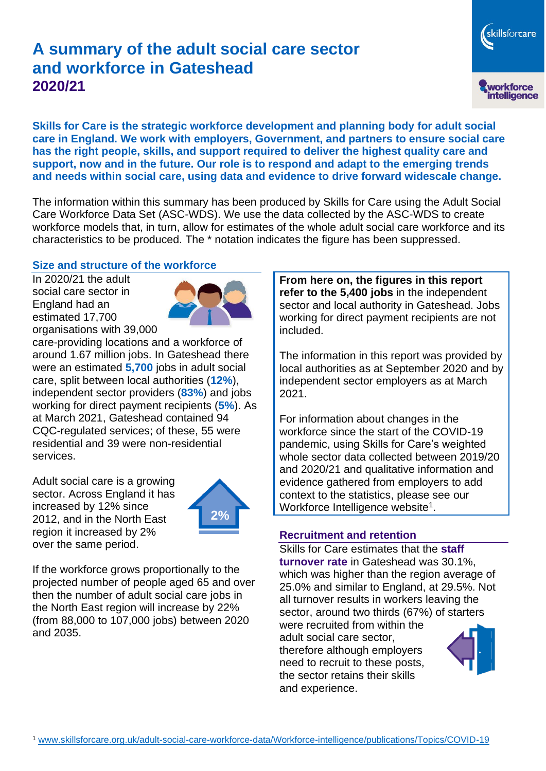# **A summary of the adult social care sector and workforce in Gateshead 2020/21**

workforce<br>intelligence

skillsforcare

**Skills for Care is the strategic workforce development and planning body for adult social care in England. We work with employers, Government, and partners to ensure social care has the right people, skills, and support required to deliver the highest quality care and support, now and in the future. Our role is to respond and adapt to the emerging trends and needs within social care, using data and evidence to drive forward widescale change.**

The information within this summary has been produced by Skills for Care using the Adult Social Care Workforce Data Set (ASC-WDS). We use the data collected by the ASC-WDS to create workforce models that, in turn, allow for estimates of the whole adult social care workforce and its characteristics to be produced. The \* notation indicates the figure has been suppressed.

### **Size and structure of the workforce**

In 2020/21 the adult social care sector in England had an estimated 17,700 organisations with 39,000



care-providing locations and a workforce of around 1.67 million jobs. In Gateshead there were an estimated **5,700** jobs in adult social care, split between local authorities (**12%**), independent sector providers (**83%**) and jobs working for direct payment recipients (**5%**). As at March 2021, Gateshead contained 94 CQC-regulated services; of these, 55 were residential and 39 were non-residential services.

Adult social care is a growing sector. Across England it has increased by 12% since 2012, and in the North East region it increased by 2% over the same period.



If the workforce grows proportionally to the projected number of people aged 65 and over then the number of adult social care jobs in the North East region will increase by 22% (from 88,000 to 107,000 jobs) between 2020 and 2035.

**From here on, the figures in this report refer to the 5,400 jobs** in the independent sector and local authority in Gateshead. Jobs working for direct payment recipients are not included.

The information in this report was provided by local authorities as at September 2020 and by independent sector employers as at March 2021.

For information about changes in the workforce since the start of the COVID-19 pandemic, using Skills for Care's weighted whole sector data collected between 2019/20 and 2020/21 and qualitative information and evidence gathered from employers to add context to the statistics, please see our Workforce Intelligence website<sup>1</sup>.

### **Recruitment and retention**

Skills for Care estimates that the **staff turnover rate** in Gateshead was 30.1%, which was higher than the region average of 25.0% and similar to England, at 29.5%. Not all turnover results in workers leaving the sector, around two thirds (67%) of starters

were recruited from within the adult social care sector, therefore although employers need to recruit to these posts, the sector retains their skills and experience.

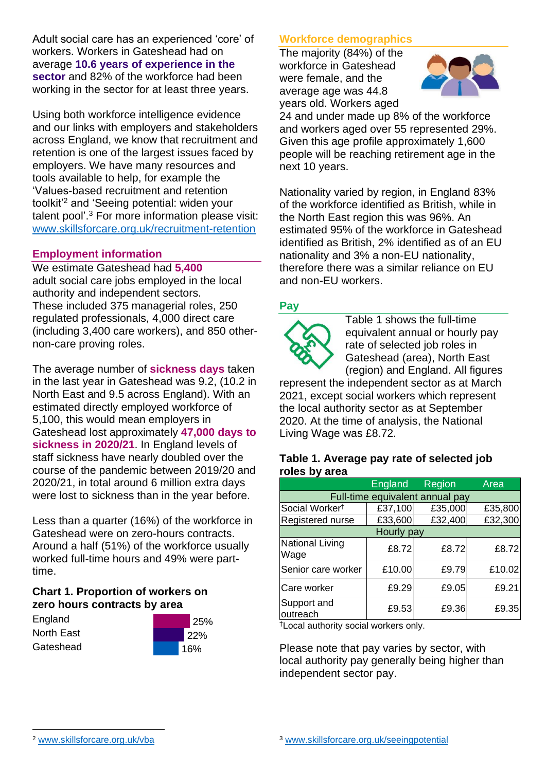Adult social care has an experienced 'core' of workers. Workers in Gateshead had on average **10.6 years of experience in the sector** and 82% of the workforce had been working in the sector for at least three years.

Using both workforce intelligence evidence and our links with employers and stakeholders across England, we know that recruitment and retention is one of the largest issues faced by employers. We have many resources and tools available to help, for example the 'Values-based recruitment and retention toolkit'<sup>2</sup> and 'Seeing potential: widen your talent pool'. <sup>3</sup> For more information please visit: [www.skillsforcare.org.uk/recruitment-retention](http://www.skillsforcare.org.uk/recruitment-retention)

### **Employment information**

We estimate Gateshead had **5,400** adult social care jobs employed in the local authority and independent sectors. These included 375 managerial roles, 250 regulated professionals, 4,000 direct care (including 3,400 care workers), and 850 othernon-care proving roles.

The average number of **sickness days** taken in the last year in Gateshead was 9.2, (10.2 in North East and 9.5 across England). With an estimated directly employed workforce of 5,100, this would mean employers in Gateshead lost approximately **47,000 days to sickness in 2020/21**. In England levels of staff sickness have nearly doubled over the course of the pandemic between 2019/20 and 2020/21, in total around 6 million extra days were lost to sickness than in the year before.

Less than a quarter (16%) of the workforce in Gateshead were on zero-hours contracts. Around a half (51%) of the workforce usually worked full-time hours and 49% were parttime.

## **Chart 1. Proportion of workers on zero hours contracts by area**

**England** North East **Gateshead** 



# **Workforce demographics**

The majority (84%) of the workforce in Gateshead were female, and the average age was 44.8 years old. Workers aged



24 and under made up 8% of the workforce and workers aged over 55 represented 29%. Given this age profile approximately 1,600 people will be reaching retirement age in the next 10 years.

Nationality varied by region, in England 83% of the workforce identified as British, while in the North East region this was 96%. An estimated 95% of the workforce in Gateshead identified as British, 2% identified as of an EU nationality and 3% a non-EU nationality, therefore there was a similar reliance on EU and non-EU workers.

## **Pay**



Table 1 shows the full-time equivalent annual or hourly pay rate of selected job roles in Gateshead (area), North East (region) and England. All figures

represent the independent sector as at March 2021, except social workers which represent the local authority sector as at September 2020. At the time of analysis, the National Living Wage was £8.72.

#### **Table 1. Average pay rate of selected job roles by area**

|                                 | <b>England</b> | Region  | Area    |
|---------------------------------|----------------|---------|---------|
| Full-time equivalent annual pay |                |         |         |
| Social Worker <sup>t</sup>      | £37,100        | £35,000 | £35,800 |
| Registered nurse                | £33,600        | £32,400 | £32,300 |
| Hourly pay                      |                |         |         |
| National Living<br>Wage         | £8.72          | £8.72   | £8.72   |
| Senior care worker              | £10.00         | £9.79   | £10.02  |
| Care worker                     | £9.29          | £9.05   | £9.21   |
| Support and<br>outreach         | £9.53          | £9.36   | £9.35   |

†Local authority social workers only.

Please note that pay varies by sector, with local authority pay generally being higher than independent sector pay.

[www.skillsforcare.org.uk/vba](http://www.skillsforcare.org.uk/vba)